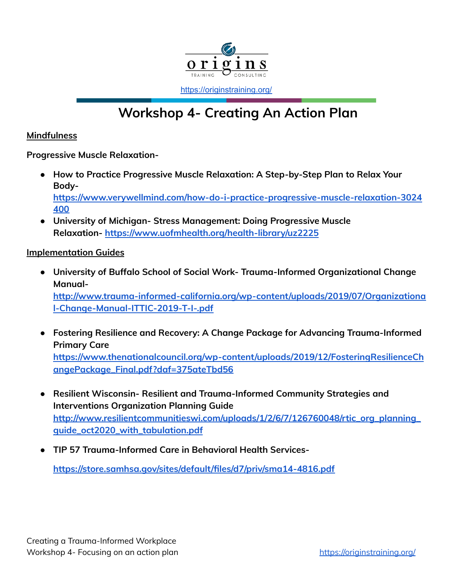

<https://originstraining.org/>

## **Workshop 4- Creating An Action Plan**

## **Mindfulness**

**Progressive Muscle Relaxation-**

- **● How to Practice Progressive Muscle Relaxation: A Step-by-Step Plan to Relax Your Body[https://www.verywellmind.com/how-do-i-practice-progressive-muscle-relaxation-3024](https://www.verywellmind.com/how-do-i-practice-progressive-muscle-relaxation-3024400)**
- **● University of Michigan- Stress Management: Doing Progressive Muscle Relaxation- <https://www.uofmhealth.org/health-library/uz2225>**

## **Implementation Guides**

**[400](https://www.verywellmind.com/how-do-i-practice-progressive-muscle-relaxation-3024400)**

**● University of Buffalo School of Social Work- Trauma-Informed Organizational Change Manual-**

**[http://www.trauma-informed-california.org/wp-content/uploads/2019/07/Organizationa](http://www.trauma-informed-california.org/wp-content/uploads/2019/07/Organizational-Change-Manual-ITTIC-2019-T-I-.pdf) [l-Change-Manual-ITTIC-2019-T-I-.pdf](http://www.trauma-informed-california.org/wp-content/uploads/2019/07/Organizational-Change-Manual-ITTIC-2019-T-I-.pdf)**

- **● Fostering Resilience and Recovery: A Change Package for Advancing Trauma-Informed Primary Care [https://www.thenationalcouncil.org/wp-content/uploads/2019/12/FosteringResilienceCh](https://www.thenationalcouncil.org/wp-content/uploads/2019/12/FosteringResilienceChangePackage_Final.pdf?daf=375ateTbd56) [angePackage\\_Final.pdf?daf=375ateTbd56](https://www.thenationalcouncil.org/wp-content/uploads/2019/12/FosteringResilienceChangePackage_Final.pdf?daf=375ateTbd56)**
- **● Resilient Wisconsin- Resilient and Trauma-Informed Community Strategies and Interventions Organization Planning Guide [http://www.resilientcommunitieswi.com/uploads/1/2/6/7/126760048/rtic\\_org\\_planning\\_](http://www.resilientcommunitieswi.com/uploads/1/2/6/7/126760048/rtic_org_planning_guide_oct2020_with_tabulation.pdf) [guide\\_oct2020\\_with\\_tabulation.pdf](http://www.resilientcommunitieswi.com/uploads/1/2/6/7/126760048/rtic_org_planning_guide_oct2020_with_tabulation.pdf)**
- **● TIP 57 Trauma-Informed Care in Behavioral Health Services-**

**<https://store.samhsa.gov/sites/default/files/d7/priv/sma14-4816.pdf>**